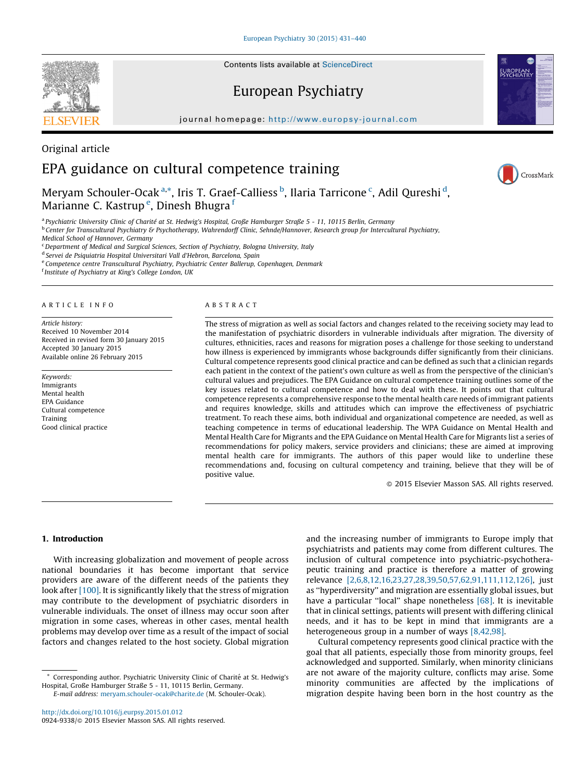Contents lists available at [ScienceDirect](http://www.sciencedirect.com/science/journal/09249338)

## European Psychiatry

journal homepage: http://www.europsy-journal.com

# EPA guidance on cultural competence training

Meryam Schouler-Ocak <sup>a,</sup>\*, Iris T. Graef-Calliess <sup>b</sup>, Ilaria Tarricone <sup>c</sup>, Adil Qureshi <sup>d</sup>, Marianne C. Kastrup<sup>e</sup>, Dinesh Bhugra <sup>f</sup>

<sup>a</sup> Psychiatric University Clinic of Charité at St. Hedwig's Hospital, Große Hamburger Straße 5 - 11, 10115 Berlin, Germany

<sup>b</sup> Center for Transcultural Psychiatry & Psychotherapy, Wahrendorff Clinic, Sehnde/Hannover, Research group for Intercultural Psychiatry,

Medical School of Hannover, Germany

 $c$  Department of Medical and Surgical Sciences, Section of Psychiatry, Bologna University, Italy

<sup>d</sup> Servei de Psiquiatria Hospital Universitari Vall d'Hebron, Barcelona, Spain

<sup>e</sup> Competence centre Transcultural Psychiatry, Psychiatric Center Ballerup, Copenhagen, Denmark

f Institute of Psychiatry at King's College London, UK

## A R T I C L E I N F O

Article history: Received 10 November 2014 Received in revised form 30 January 2015 Accepted 30 January 2015 Available online 26 February 2015

Keywords: Immigrants Mental health EPA Guidance Cultural competence Training Good clinical practice

## A B S T R A C T

The stress of migration as well as social factors and changes related to the receiving society may lead to the manifestation of psychiatric disorders in vulnerable individuals after migration. The diversity of cultures, ethnicities, races and reasons for migration poses a challenge for those seeking to understand how illness is experienced by immigrants whose backgrounds differ significantly from their clinicians. Cultural competence represents good clinical practice and can be defined as such that a clinician regards each patient in the context of the patient's own culture as well as from the perspective of the clinician's cultural values and prejudices. The EPA Guidance on cultural competence training outlines some of the key issues related to cultural competence and how to deal with these. It points out that cultural competence represents a comprehensive response to the mental health care needs of immigrant patients and requires knowledge, skills and attitudes which can improve the effectiveness of psychiatric treatment. To reach these aims, both individual and organizational competence are needed, as well as teaching competence in terms of educational leadership. The WPA Guidance on Mental Health and Mental Health Care for Migrants and the EPA Guidance on Mental Health Care for Migrants list a series of recommendations for policy makers, service providers and clinicians; these are aimed at improving mental health care for immigrants. The authors of this paper would like to underline these recommendations and, focusing on cultural competency and training, believe that they will be of positive value.

 $\odot$  2015 Elsevier Masson SAS. All rights reserved.

1. Introduction

With increasing globalization and movement of people across national boundaries it has become important that service providers are aware of the different needs of the patients they look after [\[100\].](#page-9-0) It is significantly likely that the stress of migration may contribute to the development of psychiatric disorders in vulnerable individuals. The onset of illness may occur soon after migration in some cases, whereas in other cases, mental health problems may develop over time as a result of the impact of social factors and changes related to the host society. Global migration

\* Corresponding author. Psychiatric University Clinic of Charite´ at St. Hedwig's Hospital, Große Hamburger Straße 5 - 11, 10115 Berlin, Germany.

E-mail address: [meryam.schouler-ocak@charite.de](mailto:meryam.schouler-ocak@charite.de) (M. Schouler-Ocak).

<http://dx.doi.org/10.1016/j.eurpsy.2015.01.012> 0924-9338/© 2015 Elsevier Masson SAS. All rights reserved. and the increasing number of immigrants to Europe imply that psychiatrists and patients may come from different cultures. The inclusion of cultural competence into psychiatric-psychotherapeutic training and practice is therefore a matter of growing relevance [\[2,6,8,12,16,23,27,28,39,50,57,62,91,111,112,126\],](#page-7-0) just as ''hyperdiversity'' and migration are essentially global issues, but have a particular "local" shape nonetheless [\[68\].](#page-8-0) It is inevitable that in clinical settings, patients will present with differing clinical needs, and it has to be kept in mind that immigrants are a heterogeneous group in a number of ways [\[8,42,98\].](#page-7-0)

Cultural competency represents good clinical practice with the goal that all patients, especially those from minority groups, feel acknowledged and supported. Similarly, when minority clinicians are not aware of the majority culture, conflicts may arise. Some minority communities are affected by the implications of migration despite having been born in the host country as the



Original article



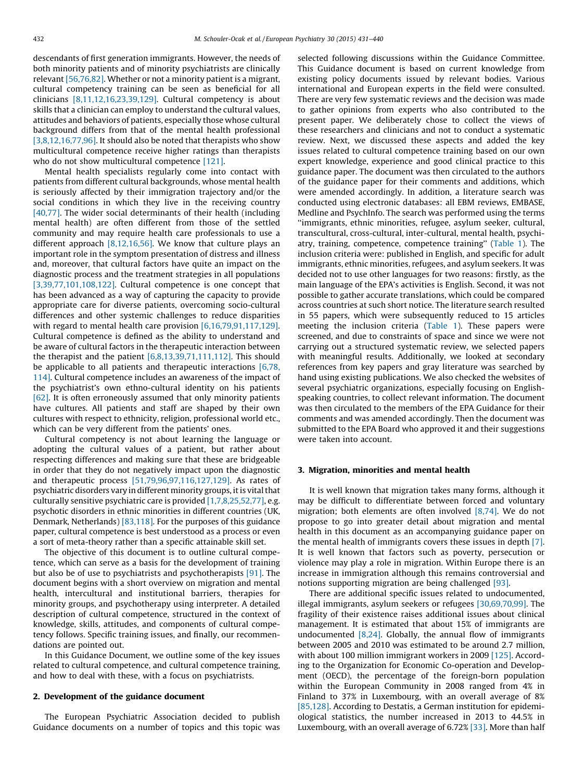descendants of first generation immigrants. However, the needs of both minority patients and of minority psychiatrists are clinically relevant [\[56,76,82\].](#page-8-0) Whether or not a minority patient is a migrant, cultural competency training can be seen as beneficial for all clinicians [\[8,11,12,16,23,39,129\]](#page-7-0). Cultural competency is about skills that a clinician can employ to understand the cultural values, attitudes and behaviors of patients, especially those whose cultural background differs from that of the mental health professional [\[3,8,12,16,77,96\].](#page-7-0) It should also be noted that therapists who show multicultural competence receive higher ratings than therapists who do not show multicultural competence [\[121\]](#page-9-0).

Mental health specialists regularly come into contact with patients from different cultural backgrounds, whose mental health is seriously affected by their immigration trajectory and/or the social conditions in which they live in the receiving country [\[40,77\].](#page-8-0) The wider social determinants of their health (including mental health) are often different from those of the settled community and may require health care professionals to use a different approach  $[8,12,16,56]$ . We know that culture plays an important role in the symptom presentation of distress and illness and, moreover, that cultural factors have quite an impact on the diagnostic process and the treatment strategies in all populations [\[3,39,77,101,108,122\].](#page-7-0) Cultural competence is one concept that has been advanced as a way of capturing the capacity to provide appropriate care for diverse patients, overcoming socio-cultural differences and other systemic challenges to reduce disparities with regard to mental health care provision [\[6,16,79,91,117,129\].](#page-7-0) Cultural competence is defined as the ability to understand and be aware of cultural factors in the therapeutic interaction between the therapist and the patient [\[6,8,13,39,71,111,112\].](#page-7-0) This should be applicable to all patients and therapeutic interactions [\[6,78,](#page-7-0) [114\]](#page-7-0). Cultural competence includes an awareness of the impact of the psychiatrist's own ethno-cultural identity on his patients [\[62\]](#page-8-0). It is often erroneously assumed that only minority patients have cultures. All patients and staff are shaped by their own cultures with respect to ethnicity, religion, professional world etc., which can be very different from the patients' ones.

Cultural competency is not about learning the language or adopting the cultural values of a patient, but rather about respecting differences and making sure that these are bridgeable in order that they do not negatively impact upon the diagnostic and therapeutic process [\[51,79,96,97,116,127,129\].](#page-8-0) As rates of psychiatric disorders vary in different minority groups, it is vital that culturally sensitive psychiatric care is provided [\[1,7,8,25,52,77\],](#page-7-0) e.g. psychotic disorders in ethnic minorities in different countries (UK, Denmark, Netherlands) [\[83,118\]](#page-9-0). For the purposes of this guidance paper, cultural competence is best understood as a process or even a sort of meta-theory rather than a specific attainable skill set.

The objective of this document is to outline cultural competence, which can serve as a basis for the development of training but also be of use to psychiatrists and psychotherapists [\[91\]](#page-9-0). The document begins with a short overview on migration and mental health, intercultural and institutional barriers, therapies for minority groups, and psychotherapy using interpreter. A detailed description of cultural competence, structured in the context of knowledge, skills, attitudes, and components of cultural competency follows. Specific training issues, and finally, our recommendations are pointed out.

In this Guidance Document, we outline some of the key issues related to cultural competence, and cultural competence training, and how to deal with these, with a focus on psychiatrists.

## 2. Development of the guidance document

The European Psychiatric Association decided to publish Guidance documents on a number of topics and this topic was selected following discussions within the Guidance Committee. This Guidance document is based on current knowledge from existing policy documents issued by relevant bodies. Various international and European experts in the field were consulted. There are very few systematic reviews and the decision was made to gather opinions from experts who also contributed to the present paper. We deliberately chose to collect the views of these researchers and clinicians and not to conduct a systematic review. Next, we discussed these aspects and added the key issues related to cultural competence training based on our own expert knowledge, experience and good clinical practice to this guidance paper. The document was then circulated to the authors of the guidance paper for their comments and additions, which were amended accordingly. In addition, a literature search was conducted using electronic databases: all EBM reviews, EMBASE, Medline and PsychInfo. The search was performed using the terms ''immigrants, ethnic minorities, refugee, asylum seeker, cultural, transcultural, cross-cultural, inter-cultural, mental health, psychiatry, training, competence, competence training'' [\(Table](#page-2-0) 1). The inclusion criteria were: published in English, and specific for adult immigrants, ethnic minorities, refugees, and asylum seekers. It was decided not to use other languages for two reasons: firstly, as the main language of the EPA's activities is English. Second, it was not possible to gather accurate translations, which could be compared across countries at such short notice. The literature search resulted in 55 papers, which were subsequently reduced to 15 articles meeting the inclusion criteria [\(Table](#page-2-0) 1). These papers were screened, and due to constraints of space and since we were not carrying out a structured systematic review, we selected papers with meaningful results. Additionally, we looked at secondary references from key papers and gray literature was searched by hand using existing publications. We also checked the websites of several psychiatric organizations, especially focusing on Englishspeaking countries, to collect relevant information. The document was then circulated to the members of the EPA Guidance for their comments and was amended accordingly. Then the document was submitted to the EPA Board who approved it and their suggestions were taken into account.

## 3. Migration, minorities and mental health

It is well known that migration takes many forms, although it may be difficult to differentiate between forced and voluntary migration; both elements are often involved [\[8,74\]](#page-7-0). We do not propose to go into greater detail about migration and mental health in this document as an accompanying guidance paper on the mental health of immigrants covers these issues in depth [\[7\].](#page-7-0) It is well known that factors such as poverty, persecution or violence may play a role in migration. Within Europe there is an increase in immigration although this remains controversial and notions supporting migration are being challenged [\[93\]](#page-9-0).

There are additional specific issues related to undocumented, illegal immigrants, asylum seekers or refugees [\[30,69,70,99\]](#page-8-0). The fragility of their existence raises additional issues about clinical management. It is estimated that about 15% of immigrants are undocumented [\[8,24\].](#page-7-0) Globally, the annual flow of immigrants between 2005 and 2010 was estimated to be around 2.7 million, with about 100 million immigrant workers in 2009 [\[125\].](#page-9-0) According to the Organization for Economic Co-operation and Development (OECD), the percentage of the foreign-born population within the European Community in 2008 ranged from 4% in Finland to 37% in Luxembourg, with an overall average of 8% [\[85,128\].](#page-9-0) According to Destatis, a German institution for epidemiological statistics, the number increased in 2013 to 44.5% in Luxembourg, with an overall average of 6.72% [\[33\].](#page-8-0) More than half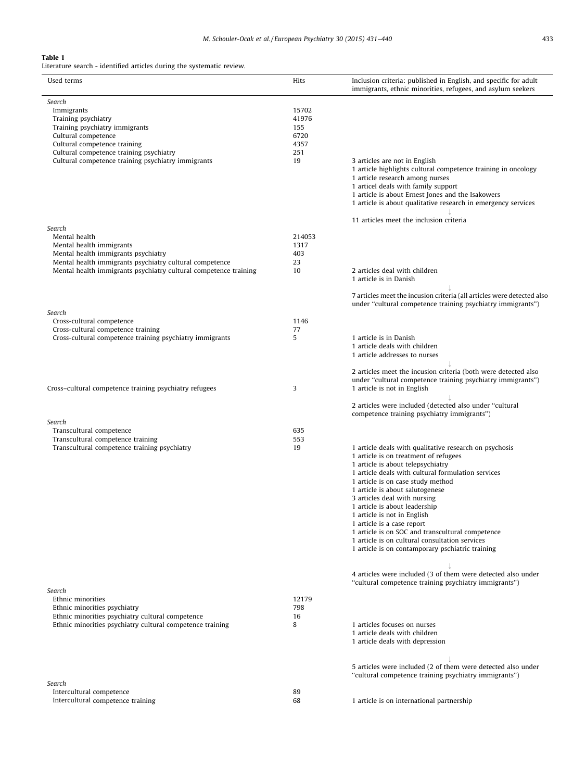## <span id="page-2-0"></span>Table 1

Literature search - identified articles during the systematic review.

| Used terms                                                                                                                                                                                                                            | Hits                                               | Inclusion criteria: published in English, and specific for adult<br>immigrants, ethnic minorities, refugees, and asylum seekers                                                                                                                                                                                                                                                                                                                                                                                                                            |
|---------------------------------------------------------------------------------------------------------------------------------------------------------------------------------------------------------------------------------------|----------------------------------------------------|------------------------------------------------------------------------------------------------------------------------------------------------------------------------------------------------------------------------------------------------------------------------------------------------------------------------------------------------------------------------------------------------------------------------------------------------------------------------------------------------------------------------------------------------------------|
| Search<br>Immigrants<br>Training psychiatry<br>Training psychiatry immigrants<br>Cultural competence<br>Cultural competence training<br>Cultural competence training psychiatry<br>Cultural competence training psychiatry immigrants | 15702<br>41976<br>155<br>6720<br>4357<br>251<br>19 | 3 articles are not in English<br>1 article highlights cultural competence training in oncology<br>1 article research among nurses<br>1 articel deals with family support<br>1 article is about Ernest Jones and the Isakowers<br>1 article is about qualitative research in emergency services<br>11 articles meet the inclusion criteria                                                                                                                                                                                                                  |
| Search<br>Mental health<br>Mental health immigrants<br>Mental health immigrants psychiatry<br>Mental health immigrants psychiatry cultural competence<br>Mental health immigrants psychiatry cultural competence training             | 214053<br>1317<br>403<br>23<br>10                  | 2 articles deal with children<br>1 article is in Danish<br>7 articles meet the incusion criteria (all articles were detected also<br>under "cultural competence training psychiatry immigrants")                                                                                                                                                                                                                                                                                                                                                           |
| Search<br>Cross-cultural competence<br>Cross-cultural competence training<br>Cross-cultural competence training psychiatry immigrants                                                                                                 | 1146<br>77<br>5                                    | 1 article is in Danish<br>1 article deals with children<br>1 article addresses to nurses                                                                                                                                                                                                                                                                                                                                                                                                                                                                   |
| Cross-cultural competence training psychiatry refugees                                                                                                                                                                                | 3                                                  | 2 articles meet the incusion criteria (both were detected also<br>under "cultural competence training psychiatry immigrants")<br>1 article is not in English<br>2 articles were included (detected also under "cultural<br>competence training psychiatry immigrants")                                                                                                                                                                                                                                                                                     |
| Search<br>Transcultural competence<br>Transcultural competence training<br>Transcultural competence training psychiatry                                                                                                               | 635<br>553<br>19                                   | 1 article deals with qualitative research on psychosis<br>1 article is on treatment of refugees<br>1 article is about telepsychiatry<br>1 article deals with cultural formulation services<br>1 article is on case study method<br>1 article is about salutogenese<br>3 articles deal with nursing<br>1 article is about leadership<br>1 article is not in English<br>1 article is a case report<br>1 article is on SOC and transcultural competence<br>1 article is on cultural consultation services<br>1 article is on contamporary pschiatric training |
| Search<br>Ethnic minorities<br>Ethnic minorities psychiatry<br>Ethnic minorities psychiatry cultural competence<br>Ethnic minorities psychiatry cultural competence training                                                          | 12179<br>798<br>16<br>8                            | 4 articles were included (3 of them were detected also under<br>"cultural competence training psychiatry immigrants")<br>1 articles focuses on nurses<br>1 article deals with children<br>1 article deals with depression<br>5 articles were included (2 of them were detected also under<br>"cultural competence training psychiatry immigrants")                                                                                                                                                                                                         |
| Search<br>Intercultural competence<br>Intercultural competence training                                                                                                                                                               | 89<br>68                                           | 1 article is on international partnership                                                                                                                                                                                                                                                                                                                                                                                                                                                                                                                  |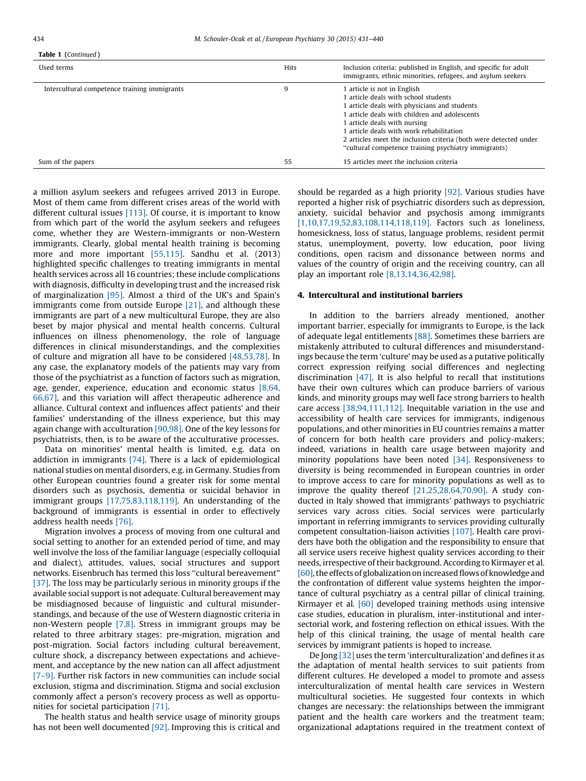Table 1 (Continued )

| Used terms                                   | Hits | Inclusion criteria: published in English, and specific for adult<br>immigrants, ethnic minorities, refugees, and asylum seekers                                                                                                                                                                                                                                     |
|----------------------------------------------|------|---------------------------------------------------------------------------------------------------------------------------------------------------------------------------------------------------------------------------------------------------------------------------------------------------------------------------------------------------------------------|
| Intercultural competence training immigrants | 9    | article is not in English<br>article deals with school students<br>article deals with physicians and students<br>article deals with children and adolescents<br>I article deals with nursing<br>Larticle deals with work rehabilitation<br>2 articles meet the inclusion criteria (both were detected under<br>"cultural competence training psychiatry immigrants) |
| Sum of the papers                            | 55   | 15 articles meet the inclusion criteria                                                                                                                                                                                                                                                                                                                             |

a million asylum seekers and refugees arrived 2013 in Europe. Most of them came from different crises areas of the world with different cultural issues [\[113\]](#page-9-0). Of course, it is important to know from which part of the world the asylum seekers and refugees come, whether they are Western-immigrants or non-Western immigrants. Clearly, global mental health training is becoming more and more important [\[55,115\].](#page-8-0) Sandhu et al. (2013) highlighted specific challenges to treating immigrants in mental health services across all 16 countries; these include complications with diagnosis, difficulty in developing trust and the increased risk of marginalization [\[95\].](#page-9-0) Almost a third of the UK's and Spain's immigrants come from outside Europe [\[21\]](#page-8-0), and although these immigrants are part of a new multicultural Europe, they are also beset by major physical and mental health concerns. Cultural influences on illness phenomenology, the role of language differences in clinical misunderstandings, and the complexities of culture and migration all have to be considered [\[48,53,78\]](#page-8-0). In any case, the explanatory models of the patients may vary from those of the psychiatrist as a function of factors such as migration, age, gender, experience, education and economic status  $[8,64,$ [66,67\],](#page-7-0) and this variation will affect therapeutic adherence and alliance. Cultural context and influences affect patients' and their families' understanding of the illness experience, but this may again change with acculturation  $[90,98]$ . One of the key lessons for psychiatrists, then, is to be aware of the acculturative processes.

Data on minorities' mental health is limited, e.g. data on addiction in immigrants [\[74\]](#page-8-0). There is a lack of epidemiological national studies on mental disorders, e.g. in Germany. Studies from other European countries found a greater risk for some mental disorders such as psychosis, dementia or suicidal behavior in immigrant groups [\[17,75,83,118,119\]](#page-8-0). An understanding of the background of immigrants is essential in order to effectively address health needs [\[76\]](#page-9-0).

Migration involves a process of moving from one cultural and social setting to another for an extended period of time, and may well involve the loss of the familiar language (especially colloquial and dialect), attitudes, values, social structures and support networks. Eisenbruch has termed this loss ''cultural bereavement'' [\[37\]](#page-8-0). The loss may be particularly serious in minority groups if the available social support is not adequate. Cultural bereavement may be misdiagnosed because of linguistic and cultural misunderstandings, and because of the use of Western diagnostic criteria in non-Western people [\[7,8\].](#page-7-0) Stress in immigrant groups may be related to three arbitrary stages: pre-migration, migration and post-migration. Social factors including cultural bereavement, culture shock, a discrepancy between expectations and achievement, and acceptance by the new nation can all affect adjustment [\[7–9\]](#page-7-0). Further risk factors in new communities can include social exclusion, stigma and discrimination. Stigma and social exclusion commonly affect a person's recovery process as well as opportunities for societal participation [\[71\].](#page-8-0)

The health status and health service usage of minority groups has not been well documented [\[92\]](#page-9-0). Improving this is critical and should be regarded as a high priority [\[92\].](#page-9-0) Various studies have reported a higher risk of psychiatric disorders such as depression, anxiety, suicidal behavior and psychosis among immigrants [\[1,10,17,19,52,83,108,114,118,119\].](#page-7-0) Factors such as loneliness, homesickness, loss of status, language problems, resident permit status, unemployment, poverty, low education, poor living conditions, open racism and dissonance between norms and values of the country of origin and the receiving country, can all play an important role [\[8,13,14,36,42,98\]](#page-7-0).

## 4. Intercultural and institutional barriers

In addition to the barriers already mentioned, another important barrier, especially for immigrants to Europe, is the lack of adequate legal entitlements [\[88\]](#page-9-0). Sometimes these barriers are mistakenly attributed to cultural differences and misunderstandings because the term 'culture' may be used as a putative politically correct expression reifying social differences and neglecting discrimination [\[47\]](#page-8-0). It is also helpful to recall that institutions have their own cultures which can produce barriers of various kinds, and minority groups may well face strong barriers to health care access [\[38,94,111,112\].](#page-8-0) Inequitable variation in the use and accessibility of health care services for immigrants, indigenous populations, and other minorities in EU countries remains a matter of concern for both health care providers and policy-makers; indeed, variations in health care usage between majority and minority populations have been noted [\[34\]](#page-8-0). Responsiveness to diversity is being recommended in European countries in order to improve access to care for minority populations as well as to improve the quality thereof [\[21,25,28,64,70,90\].](#page-8-0) A study conducted in Italy showed that immigrants' pathways to psychiatric services vary across cities. Social services were particularly important in referring immigrants to services providing culturally competent consultation-liaison activities [\[107\]](#page-9-0). Health care providers have both the obligation and the responsibility to ensure that all service users receive highest quality services according to their needs, irrespective of their background. According to Kirmayer et al.  $[60]$ , the effects of globalization on increased flows of knowledge and the confrontation of different value systems heighten the importance of cultural psychiatry as a central pillar of clinical training. Kirmayer et al. [\[60\]](#page-8-0) developed training methods using intensive case studies, education in pluralism, inter-institutional and intersectorial work, and fostering reflection on ethical issues. With the help of this clinical training, the usage of mental health care services by immigrant patients is hoped to increase.

De Jong [\[32\]](#page-8-0) uses the term 'interculturalization' and defines it as the adaptation of mental health services to suit patients from different cultures. He developed a model to promote and assess interculturalization of mental health care services in Western multicultural societies. He suggested four contexts in which changes are necessary: the relationships between the immigrant patient and the health care workers and the treatment team; organizational adaptations required in the treatment context of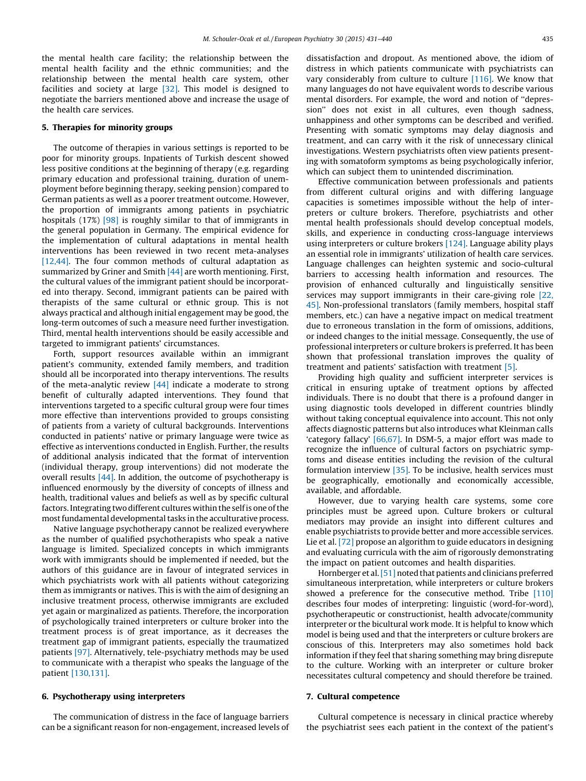the mental health care facility; the relationship between the mental health facility and the ethnic communities; and the relationship between the mental health care system, other facilities and society at large [\[32\].](#page-8-0) This model is designed to negotiate the barriers mentioned above and increase the usage of the health care services.

## 5. Therapies for minority groups

The outcome of therapies in various settings is reported to be poor for minority groups. Inpatients of Turkish descent showed less positive conditions at the beginning of therapy (e.g. regarding primary education and professional training, duration of unemployment before beginning therapy, seeking pension) compared to German patients as well as a poorer treatment outcome. However, the proportion of immigrants among patients in psychiatric hospitals (17%) [\[98\]](#page-9-0) is roughly similar to that of immigrants in the general population in Germany. The empirical evidence for the implementation of cultural adaptations in mental health interventions has been reviewed in two recent meta-analyses [\[12,44\].](#page-7-0) The four common methods of cultural adaptation as summarized by Griner and Smith [\[44\]](#page-8-0) are worth mentioning. First, the cultural values of the immigrant patient should be incorporated into therapy. Second, immigrant patients can be paired with therapists of the same cultural or ethnic group. This is not always practical and although initial engagement may be good, the long-term outcomes of such a measure need further investigation. Third, mental health interventions should be easily accessible and targeted to immigrant patients' circumstances.

Forth, support resources available within an immigrant patient's community, extended family members, and tradition should all be incorporated into therapy interventions. The results of the meta-analytic review  $[44]$  indicate a moderate to strong benefit of culturally adapted interventions. They found that interventions targeted to a specific cultural group were four times more effective than interventions provided to groups consisting of patients from a variety of cultural backgrounds. Interventions conducted in patients' native or primary language were twice as effective as interventions conducted in English. Further, the results of additional analysis indicated that the format of intervention (individual therapy, group interventions) did not moderate the overall results  $[44]$ . In addition, the outcome of psychotherapy is influenced enormously by the diversity of concepts of illness and health, traditional values and beliefs as well as by specific cultural factors. Integrating two different cultures within the self is one of the most fundamental developmental tasks in the acculturative process.

Native language psychotherapy cannot be realized everywhere as the number of qualified psychotherapists who speak a native language is limited. Specialized concepts in which immigrants work with immigrants should be implemented if needed, but the authors of this guidance are in favour of integrated services in which psychiatrists work with all patients without categorizing them as immigrants or natives. This is with the aim of designing an inclusive treatment process, otherwise immigrants are excluded yet again or marginalized as patients. Therefore, the incorporation of psychologically trained interpreters or culture broker into the treatment process is of great importance, as it decreases the treatment gap of immigrant patients, especially the traumatized patients [\[97\].](#page-9-0) Alternatively, tele-psychiatry methods may be used to communicate with a therapist who speaks the language of the patient [\[130,131\]](#page-9-0).

## 6. Psychotherapy using interpreters

The communication of distress in the face of language barriers can be a significant reason for non-engagement, increased levels of dissatisfaction and dropout. As mentioned above, the idiom of distress in which patients communicate with psychiatrists can vary considerably from culture to culture [\[116\].](#page-9-0) We know that many languages do not have equivalent words to describe various mental disorders. For example, the word and notion of ''depression'' does not exist in all cultures, even though sadness, unhappiness and other symptoms can be described and verified. Presenting with somatic symptoms may delay diagnosis and treatment, and can carry with it the risk of unnecessary clinical investigations. Western psychiatrists often view patients presenting with somatoform symptoms as being psychologically inferior, which can subject them to unintended discrimination.

Effective communication between professionals and patients from different cultural origins and with differing language capacities is sometimes impossible without the help of interpreters or culture brokers. Therefore, psychiatrists and other mental health professionals should develop conceptual models, skills, and experience in conducting cross-language interviews using interpreters or culture brokers [\[124\]](#page-9-0). Language ability plays an essential role in immigrants' utilization of health care services. Language challenges can heighten systemic and socio-cultural barriers to accessing health information and resources. The provision of enhanced culturally and linguistically sensitive services may support immigrants in their care-giving role [\[22,](#page-8-0) [45\]](#page-8-0). Non-professional translators (family members, hospital staff members, etc.) can have a negative impact on medical treatment due to erroneous translation in the form of omissions, additions, or indeed changes to the initial message. Consequently, the use of professional interpreters or culture brokers is preferred. It has been shown that professional translation improves the quality of treatment and patients' satisfaction with treatment [\[5\].](#page-7-0)

Providing high quality and sufficient interpreter services is critical in ensuring uptake of treatment options by affected individuals. There is no doubt that there is a profound danger in using diagnostic tools developed in different countries blindly without taking conceptual equivalence into account. This not only affects diagnostic patterns but also introduces what Kleinman calls 'category fallacy' [\[66,67\].](#page-8-0) In DSM-5, a major effort was made to recognize the influence of cultural factors on psychiatric symptoms and disease entities including the revision of the cultural formulation interview [\[35\]](#page-8-0). To be inclusive, health services must be geographically, emotionally and economically accessible, available, and affordable.

However, due to varying health care systems, some core principles must be agreed upon. Culture brokers or cultural mediators may provide an insight into different cultures and enable psychiatrists to provide better and more accessible services. Lie et al. [\[72\]](#page-8-0) propose an algorithm to guide educators in designing and evaluating curricula with the aim of rigorously demonstrating the impact on patient outcomes and health disparities.

Hornberger et al.  $[51]$  noted that patients and clinicians preferred simultaneous interpretation, while interpreters or culture brokers showed a preference for the consecutive method. Tribe [\[110\]](#page-9-0) describes four modes of interpreting: linguistic (word-for-word), psychotherapeutic or constructionist, health advocate/community interpreter or the bicultural work mode. It is helpful to know which model is being used and that the interpreters or culture brokers are conscious of this. Interpreters may also sometimes hold back information if they feel that sharing something may bring disrepute to the culture. Working with an interpreter or culture broker necessitates cultural competency and should therefore be trained.

## 7. Cultural competence

Cultural competence is necessary in clinical practice whereby the psychiatrist sees each patient in the context of the patient's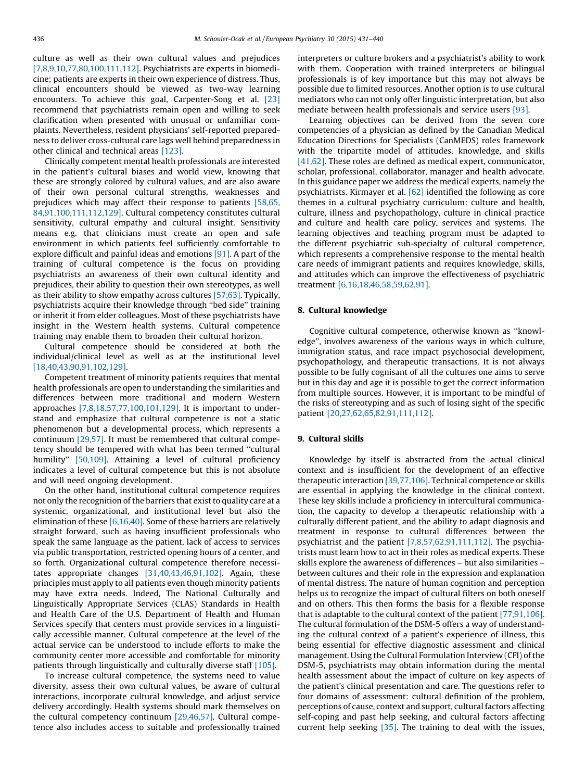culture as well as their own cultural values and prejudices [\[7,8,9,10,77,80,100,111,112\].](#page-7-0) Psychiatrists are experts in biomedicine; patients are experts in their own experience of distress. Thus, clinical encounters should be viewed as two-way learning encounters. To achieve this goal, Carpenter-Song et al. [\[23\]](#page-8-0) recommend that psychiatrists remain open and willing to seek clarification when presented with unusual or unfamiliar complaints. Nevertheless, resident physicians' self-reported preparedness to deliver cross-cultural care lags well behind preparedness in other clinical and technical areas [\[123\].](#page-9-0)

Clinically competent mental health professionals are interested in the patient's cultural biases and world view, knowing that these are strongly colored by cultural values, and are also aware of their own personal cultural strengths, weaknesses and prejudices which may affect their response to patients [\[58,65,](#page-8-0) [84,91,100,111,112,129\]](#page-8-0). Cultural competency constitutes cultural sensitivity, cultural empathy and cultural insight. Sensitivity means e.g. that clinicians must create an open and safe environment in which patients feel sufficiently comfortable to explore difficult and painful ideas and emotions [\[91\]](#page-9-0). A part of the training of cultural competence is the focus on providing psychiatrists an awareness of their own cultural identity and prejudices, their ability to question their own stereotypes, as well as their ability to show empathy across cultures [\[57,63\]](#page-8-0). Typically, psychiatrists acquire their knowledge through ''bed side'' training or inherit it from elder colleagues. Most of these psychiatrists have insight in the Western health systems. Cultural competence training may enable them to broaden their cultural horizon.

Cultural competence should be considered at both the individual/clinical level as well as at the institutional level [\[18,40,43,90,91,102,129\]](#page-8-0).

Competent treatment of minority patients requires that mental health professionals are open to understanding the similarities and differences between more traditional and modern Western approaches [\[7,8,18,57,77,100,101,129\].](#page-7-0) It is important to understand and emphasize that cultural competence is not a static phenomenon but a developmental process, which represents a continuum [\[29,57\].](#page-8-0) It must be remembered that cultural competency should be tempered with what has been termed ''cultural humility" [\[50,109\]](#page-8-0). Attaining a level of cultural proficiency indicates a level of cultural competence but this is not absolute and will need ongoing development.

On the other hand, institutional cultural competence requires not only the recognition of the barriers that exist to quality care at a systemic, organizational, and institutional level but also the elimination of these  $[6,16,40]$ . Some of these barriers are relatively straight forward, such as having insufficient professionals who speak the same language as the patient, lack of access to services via public transportation, restricted opening hours of a center, and so forth. Organizational cultural competence therefore necessitates appropriate changes [\[31,40,43,46,91,102\].](#page-8-0) Again, these principles must apply to all patients even though minority patients may have extra needs. Indeed, The National Culturally and Linguistically Appropriate Services (CLAS) Standards in Health and Health Care of the U.S. Department of Health and Human Services specify that centers must provide services in a linguistically accessible manner. Cultural competence at the level of the actual service can be understood to include efforts to make the community center more accessible and comfortable for minority patients through linguistically and culturally diverse staff [\[105\]](#page-9-0).

To increase cultural competence, the systems need to value diversity, assess their own cultural values, be aware of cultural interactions, incorporate cultural knowledge, and adjust service delivery accordingly. Health systems should mark themselves on the cultural competency continuum [\[29,46,57\]](#page-8-0). Cultural competence also includes access to suitable and professionally trained interpreters or culture brokers and a psychiatrist's ability to work with them. Cooperation with trained interpreters or bilingual professionals is of key importance but this may not always be possible due to limited resources. Another option is to use cultural mediators who can not only offer linguistic interpretation, but also mediate between health professionals and service users [\[93\]](#page-9-0).

Learning objectives can be derived from the seven core competencies of a physician as defined by the Canadian Medical Education Directions for Specialists (CanMEDS) roles framework with the tripartite model of attitudes, knowledge, and skills [\[41,62\].](#page-8-0) These roles are defined as medical expert, communicator, scholar, professional, collaborator, manager and health advocate. In this guidance paper we address the medical experts, namely the psychiatrists. Kirmayer et al. [\[62\]](#page-8-0) identified the following as core themes in a cultural psychiatry curriculum: culture and health, culture, illness and psychopathology, culture in clinical practice and culture and health care policy, services and systems. The learning objectives and teaching program must be adapted to the different psychiatric sub-specialty of cultural competence, which represents a comprehensive response to the mental health care needs of immigrant patients and requires knowledge, skills, and attitudes which can improve the effectiveness of psychiatric treatment [\[6,16,18,46,58,59,62,91\]](#page-7-0).

## 8. Cultural knowledge

Cognitive cultural competence, otherwise known as ''knowledge'', involves awareness of the various ways in which culture, immigration status, and race impact psychosocial development, psychopathology, and therapeutic transactions. It is not always possible to be fully cognisant of all the cultures one aims to serve but in this day and age it is possible to get the correct information from multiple sources. However, it is important to be mindful of the risks of stereotyping and as such of losing sight of the specific patient [\[20,27,62,65,82,91,111,112\].](#page-8-0)

#### 9. Cultural skills

Knowledge by itself is abstracted from the actual clinical context and is insufficient for the development of an effective therapeutic interaction [\[39,77,106\]](#page-8-0). Technical competence or skills are essential in applying the knowledge in the clinical context. These key skills include a proficiency in intercultural communication, the capacity to develop a therapeutic relationship with a culturally different patient, and the ability to adapt diagnosis and treatment in response to cultural differences between the psychiatrist and the patient [\[7,8,57,62,91,111,112\]](#page-7-0). The psychiatrists must learn how to act in their roles as medical experts. These skills explore the awareness of differences – but also similarities – between cultures and their role in the expression and explanation of mental distress. The nature of human cognition and perception helps us to recognize the impact of cultural filters on both oneself and on others. This then forms the basis for a flexible response that is adaptable to the cultural context of the patient [\[77,91,106\].](#page-9-0) The cultural formulation of the DSM-5 offers a way of understanding the cultural context of a patient's experience of illness, this being essential for effective diagnostic assessment and clinical management. Using the Cultural Formulation Interview (CFI) of the DSM-5, psychiatrists may obtain information during the mental health assessment about the impact of culture on key aspects of the patient's clinical presentation and care. The questions refer to four domains of assessment: cultural definition of the problem, perceptions of cause, context and support, cultural factors affecting self-coping and past help seeking, and cultural factors affecting current help seeking [\[35\]](#page-8-0). The training to deal with the issues,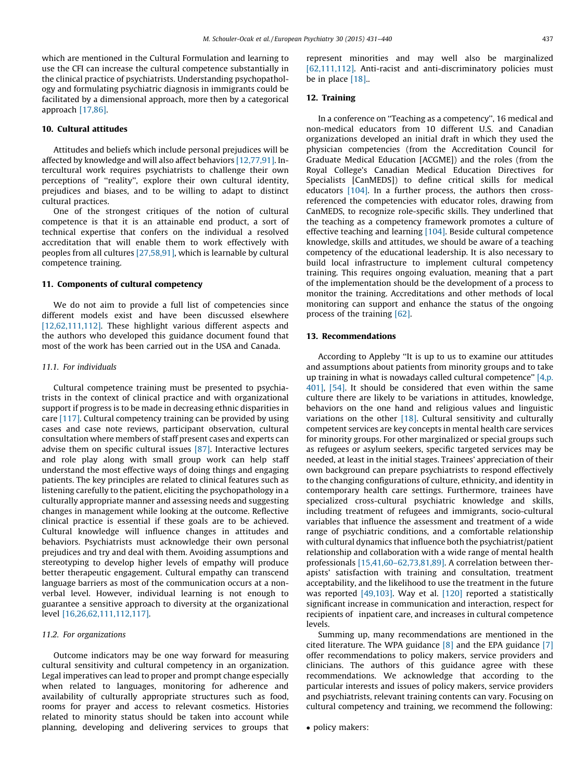which are mentioned in the Cultural Formulation and learning to use the CFI can increase the cultural competence substantially in the clinical practice of psychiatrists. Understanding psychopathology and formulating psychiatric diagnosis in immigrants could be facilitated by a dimensional approach, more then by a categorical approach [\[17,86\].](#page-8-0)

## 10. Cultural attitudes

Attitudes and beliefs which include personal prejudices will be affected by knowledge and will also affect behaviors [\[12,77,91\].](#page-7-0) Intercultural work requires psychiatrists to challenge their own perceptions of ''reality'', explore their own cultural identity, prejudices and biases, and to be willing to adapt to distinct cultural practices.

One of the strongest critiques of the notion of cultural competence is that it is an attainable end product, a sort of technical expertise that confers on the individual a resolved accreditation that will enable them to work effectively with peoples from all cultures [\[27,58,91\]](#page-8-0), which is learnable by cultural competence training.

#### 11. Components of cultural competency

We do not aim to provide a full list of competencies since different models exist and have been discussed elsewhere [\[12,62,111,112\].](#page-7-0) These highlight various different aspects and the authors who developed this guidance document found that most of the work has been carried out in the USA and Canada.

#### 11.1. For individuals

Cultural competence training must be presented to psychiatrists in the context of clinical practice and with organizational support if progress is to be made in decreasing ethnic disparities in care [\[117\]](#page-9-0). Cultural competency training can be provided by using cases and case note reviews, participant observation, cultural consultation where members of staff present cases and experts can advise them on specific cultural issues [\[87\].](#page-9-0) Interactive lectures and role play along with small group work can help staff understand the most effective ways of doing things and engaging patients. The key principles are related to clinical features such as listening carefully to the patient, eliciting the psychopathology in a culturally appropriate manner and assessing needs and suggesting changes in management while looking at the outcome. Reflective clinical practice is essential if these goals are to be achieved. Cultural knowledge will influence changes in attitudes and behaviors. Psychiatrists must acknowledge their own personal prejudices and try and deal with them. Avoiding assumptions and stereotyping to develop higher levels of empathy will produce better therapeutic engagement. Cultural empathy can transcend language barriers as most of the communication occurs at a nonverbal level. However, individual learning is not enough to guarantee a sensitive approach to diversity at the organizational level [\[16,26,62,111,112,117\]](#page-8-0).

#### 11.2. For organizations

Outcome indicators may be one way forward for measuring cultural sensitivity and cultural competency in an organization. Legal imperatives can lead to proper and prompt change especially when related to languages, monitoring for adherence and availability of culturally appropriate structures such as food, rooms for prayer and access to relevant cosmetics. Histories related to minority status should be taken into account while planning, developing and delivering services to groups that represent minorities and may well also be marginalized [\[62,111,112\].](#page-8-0) Anti-racist and anti-discriminatory policies must be in place [\[18\]](#page-8-0)...

## 12. Training

In a conference on ''Teaching as a competency'', 16 medical and non-medical educators from 10 different U.S. and Canadian organizations developed an initial draft in which they used the physician competencies (from the Accreditation Council for Graduate Medical Education [ACGME]) and the roles (from the Royal College's Canadian Medical Education Directives for Specialists [CanMEDS]) to define critical skills for medical educators [\[104\].](#page-9-0) In a further process, the authors then crossreferenced the competencies with educator roles, drawing from CanMEDS, to recognize role-specific skills. They underlined that the teaching as a competency framework promotes a culture of effective teaching and learning [\[104\].](#page-9-0) Beside cultural competence knowledge, skills and attitudes, we should be aware of a teaching competency of the educational leadership. It is also necessary to build local infrastructure to implement cultural competency training. This requires ongoing evaluation, meaning that a part of the implementation should be the development of a process to monitor the training. Accreditations and other methods of local monitoring can support and enhance the status of the ongoing process of the training [\[62\].](#page-8-0)

## 13. Recommendations

According to Appleby ''It is up to us to examine our attitudes and assumptions about patients from minority groups and to take up training in what is nowadays called cultural competence'' [\[4,p.](#page-7-0) [401\],](#page-7-0) [\[54\].](#page-8-0) It should be considered that even within the same culture there are likely to be variations in attitudes, knowledge, behaviors on the one hand and religious values and linguistic variations on the other [\[18\]](#page-8-0). Cultural sensitivity and culturally competent services are key concepts in mental health care services for minority groups. For other marginalized or special groups such as refugees or asylum seekers, specific targeted services may be needed, at least in the initial stages. Trainees' appreciation of their own background can prepare psychiatrists to respond effectively to the changing configurations of culture, ethnicity, and identity in contemporary health care settings. Furthermore, trainees have specialized cross-cultural psychiatric knowledge and skills, including treatment of refugees and immigrants, socio-cultural variables that influence the assessment and treatment of a wide range of psychiatric conditions, and a comfortable relationship with cultural dynamics that influence both the psychiatrist/patient relationship and collaboration with a wide range of mental health professionals [\[15,41,60–62,73,81,89\].](#page-7-0) A correlation between therapists' satisfaction with training and consultation, treatment acceptability, and the likelihood to use the treatment in the future was reported [\[49,103\]](#page-8-0). Way et al. [\[120\]](#page-9-0) reported a statistically significant increase in communication and interaction, respect for recipients of inpatient care, and increases in cultural competence levels.

Summing up, many recommendations are mentioned in the cited literature. The WPA guidance  $[8]$  and the EPA guidance  $[7]$ offer recommendations to policy makers, service providers and clinicians. The authors of this guidance agree with these recommendations. We acknowledge that according to the particular interests and issues of policy makers, service providers and psychiatrists, relevant training contents can vary. Focusing on cultural competency and training, we recommend the following:

• policy makers: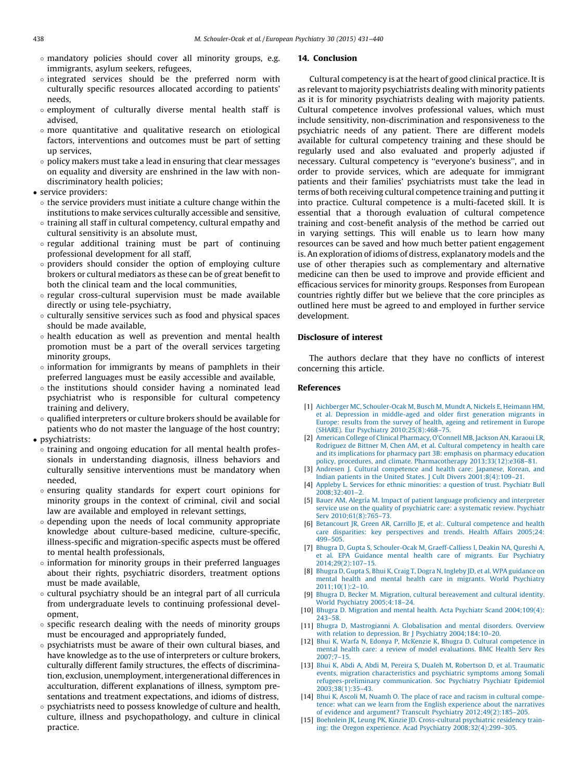- <span id="page-7-0"></span> mandatory policies should cover all minority groups, e.g. immigrants, asylum seekers, refugees,
- o integrated services should be the preferred norm with culturally specific resources allocated according to patients' needs,
- employment of culturally diverse mental health staff is advised,
- more quantitative and qualitative research on etiological factors, interventions and outcomes must be part of setting up services,
- $\circ$  policy makers must take a lead in ensuring that clear messages on equality and diversity are enshrined in the law with nondiscriminatory health policies;
- service providers:
	- $\circ$  the service providers must initiate a culture change within the institutions to make services culturally accessible and sensitive,
	- $\circ$  training all staff in cultural competency, cultural empathy and cultural sensitivity is an absolute must,
	- $\circ$  regular additional training must be part of continuing professional development for all staff,
	- providers should consider the option of employing culture brokers or cultural mediators as these can be of great benefit to both the clinical team and the local communities,
	- $\circ$  regular cross-cultural supervision must be made available directly or using tele-psychiatry,
	- $\circ$  culturally sensitive services such as food and physical spaces should be made available,
	- health education as well as prevention and mental health promotion must be a part of the overall services targeting minority groups,
	- $\circ$  information for immigrants by means of pamphlets in their preferred languages must be easily accessible and available,
	- $\circ$  the institutions should consider having a nominated lead psychiatrist who is responsible for cultural competency training and delivery,
- qualified interpreters or culture brokers should be available for patients who do not master the language of the host country;
- psychiatrists:
- training and ongoing education for all mental health professionals in understanding diagnosis, illness behaviors and culturally sensitive interventions must be mandatory when needed,
- ensuring quality standards for expert court opinions for minority groups in the context of criminal, civil and social law are available and employed in relevant settings,
- depending upon the needs of local community appropriate knowledge about culture-based medicine, culture-specific, illness-specific and migration-specific aspects must be offered to mental health professionals,
- $\circ$  information for minority groups in their preferred languages about their rights, psychiatric disorders, treatment options must be made available,
- cultural psychiatry should be an integral part of all curricula from undergraduate levels to continuing professional development,
- specific research dealing with the needs of minority groups must be encouraged and appropriately funded,
- psychiatrists must be aware of their own cultural biases, and have knowledge as to the use of interpreters or culture brokers, culturally different family structures, the effects of discrimination, exclusion, unemployment, intergenerational differences in acculturation, different explanations of illness, symptom presentations and treatment expectations, and idioms of distress,
- psychiatrists need to possess knowledge of culture and health, culture, illness and psychopathology, and culture in clinical practice.

#### 14. Conclusion

Cultural competency is at the heart of good clinical practice. It is as relevant to majority psychiatrists dealing with minority patients as it is for minority psychiatrists dealing with majority patients. Cultural competence involves professional values, which must include sensitivity, non-discrimination and responsiveness to the psychiatric needs of any patient. There are different models available for cultural competency training and these should be regularly used and also evaluated and properly adjusted if necessary. Cultural competency is ''everyone's business'', and in order to provide services, which are adequate for immigrant patients and their families' psychiatrists must take the lead in terms of both receiving cultural competence training and putting it into practice. Cultural competence is a multi-faceted skill. It is essential that a thorough evaluation of cultural competence training and cost-benefit analysis of the method be carried out in varying settings. This will enable us to learn how many resources can be saved and how much better patient engagement is. An exploration of idioms of distress, explanatory models and the use of other therapies such as complementary and alternative medicine can then be used to improve and provide efficient and efficacious services for minority groups. Responses from European countries rightly differ but we believe that the core principles as outlined here must be agreed to and employed in further service development.

## Disclosure of interest

The authors declare that they have no conflicts of interest concerning this article.

## References

- [1] Aichberger MC, [Schouler-Ocak](http://refhub.elsevier.com/S0924-9338(15)00056-5/sbref0660) M, Busch M, Mundt A, Nickels E, Heimann HM, et al. Depression in [middle-aged](http://refhub.elsevier.com/S0924-9338(15)00056-5/sbref0660) and older first generation migrants in Europe: results from the survey of health, ageing and [retirement](http://refhub.elsevier.com/S0924-9338(15)00056-5/sbref0660) in Europe (SHARE). Eur Psychiatry [2010;25\(8\):468–75.](http://refhub.elsevier.com/S0924-9338(15)00056-5/sbref0660)
- [2] American College of Clinical [Pharmacy,](http://refhub.elsevier.com/S0924-9338(15)00056-5/sbref0665) O'Connell MB, Jackson AN, Karaoui LR, Rodriguez de Bittner M, Chen AM, et al. Cultural [competency](http://refhub.elsevier.com/S0924-9338(15)00056-5/sbref0665) in health care and its [implications](http://refhub.elsevier.com/S0924-9338(15)00056-5/sbref0665) for pharmacy part 3B: emphasis on pharmacy education policy, procedures, and climate. Pharmacotherapy [2013;33\(12\):e368–81.](http://refhub.elsevier.com/S0924-9338(15)00056-5/sbref0665)
- [3] Andresen J. Cultural [competence](http://refhub.elsevier.com/S0924-9338(15)00056-5/sbref0670) and health care: Japanese, Korean, and Indian patients in the United States. J Cult Divers [2001;8\(4\):109–21.](http://refhub.elsevier.com/S0924-9338(15)00056-5/sbref0670)
- [4] Appleby L. Services for ethnic [minorities:](http://refhub.elsevier.com/S0924-9338(15)00056-5/sbref0675) a question of trust. Psychiatr Bull [2008;32:401–2](http://refhub.elsevier.com/S0924-9338(15)00056-5/sbref0675).
- [5] Bauer AM, Alegría M. Impact of patient language [proficiency](http://refhub.elsevier.com/S0924-9338(15)00056-5/sbref0680) and interpreter service use on the quality of [psychiatric](http://refhub.elsevier.com/S0924-9338(15)00056-5/sbref0680) care: a systematic review. Psychiatr Serv [2010;61\(8\):765–73](http://refhub.elsevier.com/S0924-9338(15)00056-5/sbref0680).
- [6] Betancourt JR, Green AR, Carrillo JE, et al:. Cultural [competence](http://refhub.elsevier.com/S0924-9338(15)00056-5/sbref0685) and health care disparities: key [perspectives](http://refhub.elsevier.com/S0924-9338(15)00056-5/sbref0685) and trends. Health Affairs 2005;24: [499–505](http://refhub.elsevier.com/S0924-9338(15)00056-5/sbref0685).
- [7] Bhugra D, Gupta S, [Schouler-Ocak](http://refhub.elsevier.com/S0924-9338(15)00056-5/sbref0690) M, Graeff-Calliess I, Deakin NA, Qureshi A, et al. EPA Guidance mental health care of migrants. Eur [Psychiatry](http://refhub.elsevier.com/S0924-9338(15)00056-5/sbref0690) [2014;29\(2\):107–15](http://refhub.elsevier.com/S0924-9338(15)00056-5/sbref0690).
- [8] Bhugra D, Gupta S, Bhui K, Craig T, Dogra N, Ingleby JD, et al. WPA [guidance](http://refhub.elsevier.com/S0924-9338(15)00056-5/sbref0695) on mental health and mental health care in migrants. World [Psychiatry](http://refhub.elsevier.com/S0924-9338(15)00056-5/sbref0695) [2011;10\(1\):2–10](http://refhub.elsevier.com/S0924-9338(15)00056-5/sbref0695).
- [9] Bhugra D, Becker M. Migration, cultural [bereavement](http://refhub.elsevier.com/S0924-9338(15)00056-5/sbref0700) and cultural identity. World Psychiatry [2005;4:18–24](http://refhub.elsevier.com/S0924-9338(15)00056-5/sbref0700).
- [10] Bhugra D. Migration and mental health. Acta Psychiatr Scand [2004;109\(4\):](http://refhub.elsevier.com/S0924-9338(15)00056-5/sbref0705) [243–58.](http://refhub.elsevier.com/S0924-9338(15)00056-5/sbref0705)
- [11] Bhugra D, [Mastrogianni](http://refhub.elsevier.com/S0924-9338(15)00056-5/sbref0710) A. Globalisation and mental disorders. Overview with relation to depression. Br J Psychiatry [2004;184:10–20.](http://refhub.elsevier.com/S0924-9338(15)00056-5/sbref0710)
- [12] Bhui K, Warfa N, Edonya P, McKenzie K, Bhugra D. Cultural [competence](http://refhub.elsevier.com/S0924-9338(15)00056-5/sbref0715) in mental health care: a review of model [evaluations.](http://refhub.elsevier.com/S0924-9338(15)00056-5/sbref0715) BMC Health Serv Res  $2007:7-15$
- [13] Bhui K, Abdi A, Abdi M, Pereira S, Dualeh M, Robertson D, et al. [Traumatic](http://refhub.elsevier.com/S0924-9338(15)00056-5/sbref0720) events, migration [characteristics](http://refhub.elsevier.com/S0924-9338(15)00056-5/sbref0720) and psychiatric symptoms among Somali [refugees-preliminary](http://refhub.elsevier.com/S0924-9338(15)00056-5/sbref0720) communication. Soc Psychiatry Psychiatr Epidemiol [2003;38\(1\):35–43.](http://refhub.elsevier.com/S0924-9338(15)00056-5/sbref0720)
- [14] Bhui K, Ascoli M, Nuamh O. The place of race and racism in [cultural](http://refhub.elsevier.com/S0924-9338(15)00056-5/sbref0725) competence: what can we learn from the English [experience](http://refhub.elsevier.com/S0924-9338(15)00056-5/sbref0725) about the narratives of evidence and argument? Transcult Psychiatry [2012;49\(2\):185–205.](http://refhub.elsevier.com/S0924-9338(15)00056-5/sbref0725)
- [15] Boehnlein JK, Leung PK, Kinzie JD. [Cross-cultural](http://refhub.elsevier.com/S0924-9338(15)00056-5/sbref0730) psychiatric residency training: the Oregon experience. Acad Psychiatry [2008;32\(4\):299–305](http://refhub.elsevier.com/S0924-9338(15)00056-5/sbref0730).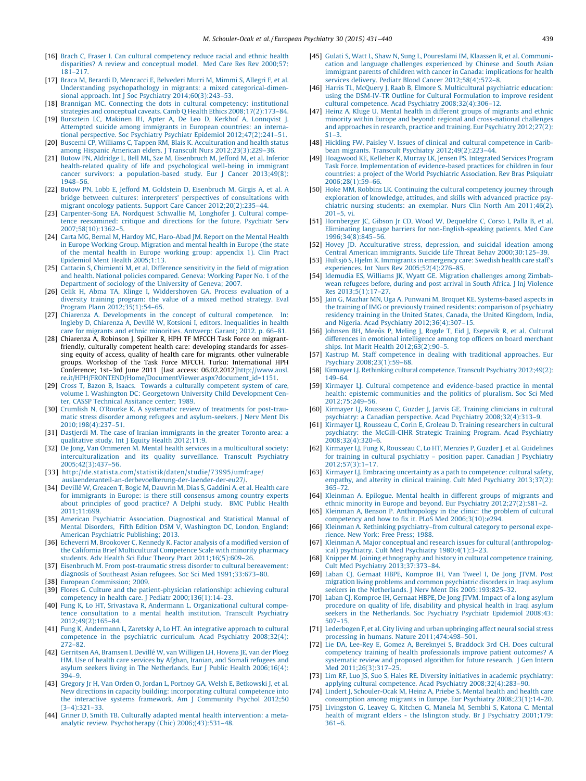- <span id="page-8-0"></span>[16] Brach C, Fraser I. Can cultural [competency](http://refhub.elsevier.com/S0924-9338(15)00056-5/sbref0735) reduce racial and ethnic health [disparities?](http://refhub.elsevier.com/S0924-9338(15)00056-5/sbref0735) A review and conceptual model. Med Care Res Rev 2000;57: [181–217.](http://refhub.elsevier.com/S0924-9338(15)00056-5/sbref0735)
- [17] Braca M, Berardi D, [Mencacci](http://refhub.elsevier.com/S0924-9338(15)00056-5/sbref0740) E, Belvederi Murri M, Mimmi S, Allegri F, et al. Understanding psychopathology in migrants: a mixed [categorical-dimen](http://refhub.elsevier.com/S0924-9338(15)00056-5/sbref0740)sional approach. Int J Soc Psychiatry 2014;60(3):243-53.
- [18] Brannigan MC. Connecting the dots in cultural [competency:](http://refhub.elsevier.com/S0924-9338(15)00056-5/sbref0745) institutional strategies and conceptual caveats. Camb Q Health Ethics [2008;17\(2\):173–84.](http://refhub.elsevier.com/S0924-9338(15)00056-5/sbref0745)
- [19] Bursztein LC, Makinen IH, Apter A, De Leo D, Kerkhof A, [Lonnqvist](http://refhub.elsevier.com/S0924-9338(15)00056-5/sbref0750) J. Attempted suicide among [immigrants](http://refhub.elsevier.com/S0924-9338(15)00056-5/sbref0750) in European countries: an international perspective. Soc Psychiatry Psychiatr Epidemiol [2012;47\(2\):241–51](http://refhub.elsevier.com/S0924-9338(15)00056-5/sbref0750).
- [20] Buscemi CP, Williams C, Tappen RM, Blais K. [Acculturation](http://refhub.elsevier.com/S0924-9338(15)00056-5/sbref0755) and health status among Hispanic American elders. J Transcult Nurs [2012;23\(3\):229–36.](http://refhub.elsevier.com/S0924-9338(15)00056-5/sbref0755)
- [21] Butow PN, Aldridge L, Bell ML, Sze M, [Eisenbruch](http://refhub.elsevier.com/S0924-9338(15)00056-5/sbref0760) M, Jefford M, et al. Inferior [health-related](http://refhub.elsevier.com/S0924-9338(15)00056-5/sbref0760) quality of life and psychological well-being in immigrant cancer survivors: a [population-based](http://refhub.elsevier.com/S0924-9338(15)00056-5/sbref0760) study. Eur J Cancer 2013;49(8): [1948–56.](http://refhub.elsevier.com/S0924-9338(15)00056-5/sbref0760)
- [22] Butow PN, Lobb E, Jefford M, Goldstein D, [Eisenbruch](http://refhub.elsevier.com/S0924-9338(15)00056-5/sbref0765) M, Girgis A, et al. A bridge between cultures: interpreters' perspectives of [consultations](http://refhub.elsevier.com/S0924-9338(15)00056-5/sbref0765) with migrant oncology patients. Support Care Cancer [2012;20\(2\):235–44.](http://refhub.elsevier.com/S0924-9338(15)00056-5/sbref0765)
- [23] [Carpenter-Song](http://refhub.elsevier.com/S0924-9338(15)00056-5/sbref0770) EA, Nordquest Schwallie M, Longhofer J. Cultural competence [reexamined:](http://refhub.elsevier.com/S0924-9338(15)00056-5/sbref0770) critique and directions for the future. Psychiatr Serv [2007;58\(10\):1362–5](http://refhub.elsevier.com/S0924-9338(15)00056-5/sbref0770).
- [24] Carta MG, Bernal M, Hardoy MC, [Haro-Abad](http://refhub.elsevier.com/S0924-9338(15)00056-5/sbref0775) JM. Report on the Mental Health in Europe Working Group. [Migration](http://refhub.elsevier.com/S0924-9338(15)00056-5/sbref0775) and mental health in Europe (the state of the mental health in Europe working group: [appendix](http://refhub.elsevier.com/S0924-9338(15)00056-5/sbref0775) 1). Clin Pract Epidemiol Ment Health [2005;1:13](http://refhub.elsevier.com/S0924-9338(15)00056-5/sbref0775).
- [25] Cattacin S, Chimienti M, et al. Difference [sensitivity](http://refhub.elsevier.com/S0924-9338(15)00056-5/sbref0780) in the field of migration and health. National policies [compared.](http://refhub.elsevier.com/S0924-9338(15)00056-5/sbref0780) Geneva: Working Paper No. 1 of the [Department](http://refhub.elsevier.com/S0924-9338(15)00056-5/sbref0780) of sociology of the University of Geneva; 2007.
- [26] Celik H, Abma TA, Klinge I, [Widdershoven](http://refhub.elsevier.com/S0924-9338(15)00056-5/sbref0785) GA. Process evaluation of a diversity training [program:](http://refhub.elsevier.com/S0924-9338(15)00056-5/sbref0785) the value of a mixed method strategy. Eval Program Plann [2012;35\(1\):54–65](http://refhub.elsevier.com/S0924-9338(15)00056-5/sbref0785).
- [27] Chiarenza A. [Developments](http://refhub.elsevier.com/S0924-9338(15)00056-5/sbref0790) in the concept of cultural competence. In: Ingleby D, Chiarenza A, Devillé W, Kotsioni I, editors. [Inequalities](http://refhub.elsevier.com/S0924-9338(15)00056-5/sbref0790) in health care for migrants and ethnic [minorities.](http://refhub.elsevier.com/S0924-9338(15)00056-5/sbref0790) Antwerp: Garant; 2012. p. [66–81](http://refhub.elsevier.com/S0924-9338(15)00056-5/sbref0790).
- [28] Chiarenza A, Robinson J, Spilker R, HPH TF MFCCH Task Force on migrantfriendly, culturally competent health care: developing standards for assessing equity of access, quality of health care for migrants, other vulnerable groups. Workshop of the Task Force MFCCH. Turku: International HPH Conference; 1st–3rd June 2011 [last access: 06.02.2012[\]http://www.ausl.](http://www.ausl.re.it/HPH/FRONTEND/Home/DocumentViewer.aspx?document_id=1151) [re.it/HPH/FRONTEND/Home/DocumentViewer.aspx?document\\_id=1151](http://www.ausl.re.it/HPH/FRONTEND/Home/DocumentViewer.aspx?document_id=1151).
- [29] Cross T, Bazon B, Isaacs. Towards a culturally [competent](http://refhub.elsevier.com/S0924-9338(15)00056-5/sbref0800) system of care, volume I. Washington DC: Georgetown University Child [Development](http://refhub.elsevier.com/S0924-9338(15)00056-5/sbref0800) Center, CASSP [Technical](http://refhub.elsevier.com/S0924-9338(15)00056-5/sbref0800) Assitance center; 1989.
- [30] Crumlish N, O'Rourke K. A systematic review of [treatments](http://refhub.elsevier.com/S0924-9338(15)00056-5/sbref0805) for post-traumatic stress disorder among refugees and [asylum-seekers.](http://refhub.elsevier.com/S0924-9338(15)00056-5/sbref0805) J Nerv Ment Dis [2010;198\(4\):237–51](http://refhub.elsevier.com/S0924-9338(15)00056-5/sbref0805).
- [31] Dastjerdi M. The case of Iranian [immigrants](http://refhub.elsevier.com/S0924-9338(15)00056-5/sbref0810) in the greater Toronto area: a [qualitative](http://refhub.elsevier.com/S0924-9338(15)00056-5/sbref0810) study. Int J Equity Health 2012;11:9.
- [32] De Jong, Van Ommeren M. Mental health services in a [multicultural](http://refhub.elsevier.com/S0924-9338(15)00056-5/sbref0815) society: [interculturalization](http://refhub.elsevier.com/S0924-9338(15)00056-5/sbref0815) and its quality surveillance. Transcult Psychiatry [2005;42\(3\):437–56](http://refhub.elsevier.com/S0924-9338(15)00056-5/sbref0815).
- [33] [http://de.statista.com/statistik/daten/studie/73995/umfrage/](http://de.statista.com/statistik/daten/studie/73995/umfrage/auslaenderanteil-an-derbevoelkerung-der-laender-der-eu27/) [auslaenderanteil-an-derbevoelkerung-der-laender-der-eu27/.](http://de.statista.com/statistik/daten/studie/73995/umfrage/auslaenderanteil-an-derbevoelkerung-der-laender-der-eu27/)
- [34] Devillé W, [Greacen](http://refhub.elsevier.com/S0924-9338(15)00056-5/sbref0825) T, Bogic M, Dauvrin M, Dias S, Gaddini A, et al. Health care for [immigrants](http://refhub.elsevier.com/S0924-9338(15)00056-5/sbref0825) in Europe: is there still consensus among country experts about [principles](http://refhub.elsevier.com/S0924-9338(15)00056-5/sbref0825) of good practice? A Delphi study. BMC Public Health [2011;11:699](http://refhub.elsevier.com/S0924-9338(15)00056-5/sbref0825).
- [35] American Psychiatric Association. [Diagnostical](http://refhub.elsevier.com/S0924-9338(15)00056-5/sbref0830) and Statistical Manual of Mental Disorders, Fifth Edition DSM V, [Washington](http://refhub.elsevier.com/S0924-9338(15)00056-5/sbref0830) DC, London, England: American Psychiatric [Publishing;](http://refhub.elsevier.com/S0924-9338(15)00056-5/sbref0830) 2013.
- [36] Echeverri M, [Brookover](http://refhub.elsevier.com/S0924-9338(15)00056-5/sbref0835) C, Kennedy K. Factor analysis of a modified version of the California Brief [Multicultural](http://refhub.elsevier.com/S0924-9338(15)00056-5/sbref0835) Competence Scale with minority pharmacy students. Adv Health Sci Educ Theory Pract [2011;16\(5\):609–26](http://refhub.elsevier.com/S0924-9338(15)00056-5/sbref0835).
- [37] Eisenbruch M. From [post-traumatic](http://refhub.elsevier.com/S0924-9338(15)00056-5/sbref0840) stress disorder to cultural bereavement: diagnosis of Southeast Asian refugees. Soc Sci Med [1991;33:673–80.](http://refhub.elsevier.com/S0924-9338(15)00056-5/sbref0840)
- [38] European [Commission;](http://refhub.elsevier.com/S0924-9338(15)00056-5/sbref0845) 2009. [39] Flores G. Culture and the [patient-physician](http://refhub.elsevier.com/S0924-9338(15)00056-5/sbref0850) relationship: achieving cultural
- competency in health care. J Pediatr [2000;136\(1\):14–23](http://refhub.elsevier.com/S0924-9338(15)00056-5/sbref0850).
- [40] Fung K, Lo HT, Srivastava R, Andermann L. [Organizational](http://refhub.elsevier.com/S0924-9338(15)00056-5/sbref0855) cultural competence [consultation](http://refhub.elsevier.com/S0924-9338(15)00056-5/sbref0855) to a mental health institution. Transcult Psychiatry [2012;49\(2\):165–84](http://refhub.elsevier.com/S0924-9338(15)00056-5/sbref0855).
- [41] Fung K, [Andermann](http://refhub.elsevier.com/S0924-9338(15)00056-5/sbref0860) L, Zaretsky A, Lo HT. An integrative approach to cultural [competence](http://refhub.elsevier.com/S0924-9338(15)00056-5/sbref0860) in the psychiatric curriculum. Acad Psychiatry 2008;32(4): [272–82.](http://refhub.elsevier.com/S0924-9338(15)00056-5/sbref0860)
- [42] [Gerritsen](http://refhub.elsevier.com/S0924-9338(15)00056-5/sbref0865) AA, Bramsen I, Devillé W, van Willigen LH, Hovens JE, van der Ploeg HM. Use of health care services by Afghan, Iranian, and Somali [refugees](http://refhub.elsevier.com/S0924-9338(15)00056-5/sbref0865) and asylum seekers living in The [Netherlands.](http://refhub.elsevier.com/S0924-9338(15)00056-5/sbref0865) Eur J Public Health 2006;16(4): [394–9](http://refhub.elsevier.com/S0924-9338(15)00056-5/sbref0865).
- [43] Gregory Jr H, Van Orden O, Jordan L, Portnoy GA, Welsh E, [Betkowski](http://refhub.elsevier.com/S0924-9338(15)00056-5/sbref0870) J, et al. New directions in capacity building: [incorporating](http://refhub.elsevier.com/S0924-9338(15)00056-5/sbref0870) cultural competence into the interactive systems framework. Am J [Community](http://refhub.elsevier.com/S0924-9338(15)00056-5/sbref0870) Psychol 2012;50 [\(3–4\):321–33.](http://refhub.elsevier.com/S0924-9338(15)00056-5/sbref0870)
- [44] Griner D, Smith TB. Culturally adapted mental health [intervention:](http://refhub.elsevier.com/S0924-9338(15)00056-5/sbref0875) a metaanalytic review. Psychotherapy (Chic) [2006;\(43\):531–48](http://refhub.elsevier.com/S0924-9338(15)00056-5/sbref0875).
- [45] Gulati S, Watt L, Shaw N, Sung L, [Poureslami](http://refhub.elsevier.com/S0924-9338(15)00056-5/sbref0880) IM, Klaassen R, et al. Communication and language challenges [experienced](http://refhub.elsevier.com/S0924-9338(15)00056-5/sbref0880) by Chinese and South Asian immigrant parents of children with cancer in Canada: [implications](http://refhub.elsevier.com/S0924-9338(15)00056-5/sbref0880) for health services delivery. Pediatr Blood Cancer [2012;58\(4\):572–8](http://refhub.elsevier.com/S0924-9338(15)00056-5/sbref0880).
- [46] Harris TL, McQuery J, Raab B, Elmore S. [Multicultural](http://refhub.elsevier.com/S0924-9338(15)00056-5/sbref0885) psychiatric education: using the DSM-IV-TR Outline for Cultural [Formulation](http://refhub.elsevier.com/S0924-9338(15)00056-5/sbref0885) to improve resident cultural competence. Acad Psychiatry [2008;32\(4\):306–12](http://refhub.elsevier.com/S0924-9338(15)00056-5/sbref0885).
- [47] Heinz A, Kluge U. Mental health in different groups of [migrants](http://refhub.elsevier.com/S0924-9338(15)00056-5/sbref0890) and ethnic minority within Europe and beyond: regional and [cross-national](http://refhub.elsevier.com/S0924-9338(15)00056-5/sbref0890) challenges and approaches in research, practice and training. Eur Psychiatry [2012;27\(2\):](http://refhub.elsevier.com/S0924-9338(15)00056-5/sbref0890) [S1–3.](http://refhub.elsevier.com/S0924-9338(15)00056-5/sbref0890)
- [48] Hickling FW, Paisley V. Issues of clinical and cultural [competence](http://refhub.elsevier.com/S0924-9338(15)00056-5/sbref0895) in Caribbean migrants. Transcult Psychiatry [2012;49\(2\):223–44](http://refhub.elsevier.com/S0924-9338(15)00056-5/sbref0895).
- [49] [Hoagwood](http://refhub.elsevier.com/S0924-9338(15)00056-5/sbref0900) KE, Kelleher K, Murray LK, Jensen PS. Integrated Services Program Task Force. [Implementation](http://refhub.elsevier.com/S0924-9338(15)00056-5/sbref0900) of evidence-based practices for children in four countries: a project of the World Psychiatric [Association.](http://refhub.elsevier.com/S0924-9338(15)00056-5/sbref0900) Rev Bras Psiquiatr [2006;28\(1\):59–66.](http://refhub.elsevier.com/S0924-9338(15)00056-5/sbref0900)
- [50] Hoke MM, Robbins LK. Continuing the cultural [competency](http://refhub.elsevier.com/S0924-9338(15)00056-5/sbref0905) journey through exploration of [knowledge,](http://refhub.elsevier.com/S0924-9338(15)00056-5/sbref0905) attitudes, and skills with advanced practice psychiatric nursing students: an exemplar. Nurs Clin North Am [2011;46\(2\).](http://refhub.elsevier.com/S0924-9338(15)00056-5/sbref0905) [201–5,](http://refhub.elsevier.com/S0924-9338(15)00056-5/sbref0905) vi.
- [51] [Hornberger](http://refhub.elsevier.com/S0924-9338(15)00056-5/sbref0910) JC, Gibson Jr CD, Wood W, [Dequeldre](http://refhub.elsevier.com/S0924-9338(15)00056-5/sbref0910) C, Corso I, Palla B, et al. Eliminating language barriers for [non-English-speaking](http://refhub.elsevier.com/S0924-9338(15)00056-5/sbref0910) patients. Med Care [1996;34\(8\):845–56.](http://refhub.elsevier.com/S0924-9338(15)00056-5/sbref0910)
- [52] Hovey JD. [Acculturative](http://refhub.elsevier.com/S0924-9338(15)00056-5/sbref0915) stress, depression, and suicidal ideation among Central American immigrants. Suicide Life Threat Behav [2000;30:125–39.](http://refhub.elsevier.com/S0924-9338(15)00056-5/sbref0915)
- [53] Hultsjö S, Hjelm K. [Immigrants](http://refhub.elsevier.com/S0924-9338(15)00056-5/sbref0920) in emergency care: Swedish health care staff's experiences. Int Nurs Rev [2005;52\(4\):276–85](http://refhub.elsevier.com/S0924-9338(15)00056-5/sbref0920).
- [54] Idemudia ES, Williams JK, Wyatt GE. Migration [challenges](http://refhub.elsevier.com/S0924-9338(15)00056-5/sbref0925) among Zimbabwean refugees before, during and post arrival in South Africa. J Inj [Violence](http://refhub.elsevier.com/S0924-9338(15)00056-5/sbref0925) Res [2013;5\(1\):17–27](http://refhub.elsevier.com/S0924-9338(15)00056-5/sbref0925).
- [55] Jain G, Mazhar MN, Uga A, Punwani M, Broquet KE. [Systems-based](http://refhub.elsevier.com/S0924-9338(15)00056-5/sbref0930) aspects in the training of IMG or previously trained residents: [comparison](http://refhub.elsevier.com/S0924-9338(15)00056-5/sbref0930) of psychiatry residency training in the United States, Canada, the United [Kingdom,](http://refhub.elsevier.com/S0924-9338(15)00056-5/sbref0930) India, and Nigeria. Acad Psychiatry [2012;36\(4\):307–15](http://refhub.elsevier.com/S0924-9338(15)00056-5/sbref0930).
- [56] Johnsen BH, Meeus P, Meling J, Rogde T, Eid J, [Esepevik](http://refhub.elsevier.com/S0924-9338(15)00056-5/sbref0935) R, et al. Cultural differences in emotional [intelligence](http://refhub.elsevier.com/S0924-9338(15)00056-5/sbref0935) among top officers on board merchant ships. Int Marit Health [2012;63\(2\):90–5.](http://refhub.elsevier.com/S0924-9338(15)00056-5/sbref0935)
- [57] Kastrup M. Staff [competence](http://refhub.elsevier.com/S0924-9338(15)00056-5/sbref0940) in dealing with traditional approaches. Eur Psychiary [2008;23\(1\):59–68](http://refhub.elsevier.com/S0924-9338(15)00056-5/sbref0940).
- [58] Kirmayer LJ. Rethinking cultural [competence.](http://refhub.elsevier.com/S0924-9338(15)00056-5/sbref0945) Transcult Psychiatry 2012;49(2): [149–64](http://refhub.elsevier.com/S0924-9338(15)00056-5/sbref0945).
- [59] Kirmayer LJ. Cultural competence and [evidence-based](http://refhub.elsevier.com/S0924-9338(15)00056-5/sbref0950) practice in mental health: epistemic [communities](http://refhub.elsevier.com/S0924-9338(15)00056-5/sbref0950) and the politics of pluralism. Soc Sci Med [2012;75:249–56.](http://refhub.elsevier.com/S0924-9338(15)00056-5/sbref0950)
- [60] Kirmayer LJ, Rousseau C, Guzder J, Jarvis GE. Training [clinicians](http://refhub.elsevier.com/S0924-9338(15)00056-5/sbref0955) in cultural psychiatry: a Canadian perspective. Acad Psychiatry [2008;32\(4\):313–9](http://refhub.elsevier.com/S0924-9338(15)00056-5/sbref0955).
- [61] Kirmayer LJ, Rousseau C, Corin E, Groleau D. Training [researchers](http://refhub.elsevier.com/S0924-9338(15)00056-5/sbref0960) in cultural psychiatry: the [McGill-CIHR](http://refhub.elsevier.com/S0924-9338(15)00056-5/sbref0960) Strategic Training Program. Acad Psychiatry  $2008:32(4):320-6$
- [62] Kirmayer LJ, Fung K, Rousseau C, Lo HT, Menzies P, Guzder J, et al. [Guidelines](http://refhub.elsevier.com/S0924-9338(15)00056-5/sbref0965) for training in cultural [psychiatry](http://refhub.elsevier.com/S0924-9338(15)00056-5/sbref0965) – position paper. Canadian J Psychiatry  $2012:57(3):1-17$
- [63] Kirmayer LJ. Embracing uncertainty as a path to [competence:](http://refhub.elsevier.com/S0924-9338(15)00056-5/sbref0970) cultural safety, empathy, and alterity in clinical training. Cult Med Psychiatry [2013;37\(2\):](http://refhub.elsevier.com/S0924-9338(15)00056-5/sbref0970) [365–72.](http://refhub.elsevier.com/S0924-9338(15)00056-5/sbref0970)
- [64] [Kleinman](http://refhub.elsevier.com/S0924-9338(15)00056-5/sbref0975) A. Epilogue. Mental health in different groups of migrants and ethnic minority in Europe and beyond. Eur Psychiatry [2012;27\(2\):S81–2](http://refhub.elsevier.com/S0924-9338(15)00056-5/sbref0975).
- [65] Kleinman A, Benson P. [Anthropology](http://refhub.elsevier.com/S0924-9338(15)00056-5/sbref0980) in the clinic: the problem of cultural competency and how to fix it. PLoS Med [2006;3\(10\):e294.](http://refhub.elsevier.com/S0924-9338(15)00056-5/sbref0980)
- [66] Kleinman A. Rethinking [psychiatry–from](http://refhub.elsevier.com/S0924-9338(15)00056-5/sbref0985) cultural category to personal expe[rience.](http://refhub.elsevier.com/S0924-9338(15)00056-5/sbref0985) New York: Free Press; 1988.
- [67] Kleinman A. Major conceptual and research issues for cultural [\(anthropolog](http://refhub.elsevier.com/S0924-9338(15)00056-5/sbref0990)ical) psychiatry. Cult Med Psychiatry [1980;4\(1\):3–23.](http://refhub.elsevier.com/S0924-9338(15)00056-5/sbref0990)
- [68] Knipper M. Joining [ethnography](http://refhub.elsevier.com/S0924-9338(15)00056-5/sbref0995) and history in cultural competence training. Cult Med Psychiatry [2013;37:373–84](http://refhub.elsevier.com/S0924-9338(15)00056-5/sbref0995).
- [69] Laban CJ, Gernaat HBPE, [Komproe](http://refhub.elsevier.com/S0924-9338(15)00056-5/sbref1000) IH, Van Tweel I, De Jong JTVM. Post migration living problems and common [psychiatric](http://refhub.elsevier.com/S0924-9338(15)00056-5/sbref1000) disorders in Iraqi asylum seekers in the Netherlands. J Nerv Ment Dis [2005;193:825–32](http://refhub.elsevier.com/S0924-9338(15)00056-5/sbref1000).
- [70] Laban CJ, [Komproe](http://refhub.elsevier.com/S0924-9338(15)00056-5/sbref1005) IH, Gernaat HBPE, De Jong JTVM. Impact of a long asylum [procedure](http://refhub.elsevier.com/S0924-9338(15)00056-5/sbref1005) on quality of life, disability and physical health in Iraqi asylum seekers in the [Netherlands.](http://refhub.elsevier.com/S0924-9338(15)00056-5/sbref1005) Soc Psychiatry Psychiatr Epidemiol 2008;43: [507–15.](http://refhub.elsevier.com/S0924-9338(15)00056-5/sbref1005)
- [71] [Lederbogen](http://refhub.elsevier.com/S0924-9338(15)00056-5/sbref1010) F, et al. City living and urban upbringing affect neural social stress processing in humans. Nature [2011;474:498–501.](http://refhub.elsevier.com/S0924-9338(15)00056-5/sbref1010)
- [72] Lie DA, Lee-Rey E, Gomez A, [Bereknyei](http://refhub.elsevier.com/S0924-9338(15)00056-5/sbref1015) S, [Braddock](http://refhub.elsevier.com/S0924-9338(15)00056-5/sbref1015) 3rd CH. Does cultural competency training of health [professionals](http://refhub.elsevier.com/S0924-9338(15)00056-5/sbref1015) improve patient outcomes? A [systematic](http://refhub.elsevier.com/S0924-9338(15)00056-5/sbref1015) review and proposed algorithm for future research. J Gen Intern Med [2011;26\(3\):317–25](http://refhub.elsevier.com/S0924-9338(15)00056-5/sbref1015).
- [73] Lim RF, Luo JS, Suo S, Hales RE. Diversity initiatives in academic [psychiatry:](http://refhub.elsevier.com/S0924-9338(15)00056-5/sbref1020) applying cultural competence. Acad Psychiatry [2008;32\(4\):283–90](http://refhub.elsevier.com/S0924-9338(15)00056-5/sbref1020).
- [74] Lindert J, [Schouler-Ocak](http://refhub.elsevier.com/S0924-9338(15)00056-5/sbref1025) M, Heinz A, Priebe S. Mental health and health care consumption among migrants in Europe. Eur Psychiatry [2008;23\(1\):14–20.](http://refhub.elsevier.com/S0924-9338(15)00056-5/sbref1025)
- [75] [Livingston](http://refhub.elsevier.com/S0924-9338(15)00056-5/sbref1030) G, Leavey G, Kitchen G, Manela M, Sembhi S, Katona C. Mental health of migrant elders - the Islington study. Br J [Psychiatry](http://refhub.elsevier.com/S0924-9338(15)00056-5/sbref1030) 2001;179: [361–6](http://refhub.elsevier.com/S0924-9338(15)00056-5/sbref1030).